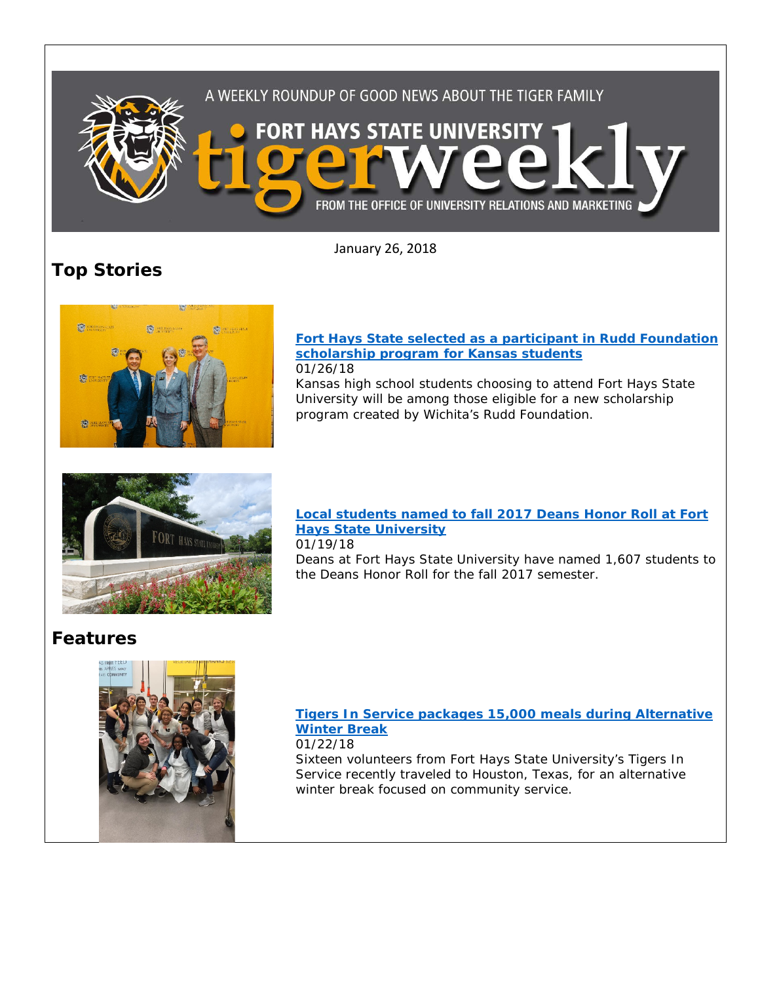

January 26, 2018

# **Top Stories**



### **[Fort Hays State selected as a participant in Rudd Foundation](https://www.fhsu.edu/news/2018/01/fort-hays-state-selected-as-a-participant-in-rudd-foundation-scholarship-program-for-kansas-students.html)  [scholarship program for Kansas students](https://www.fhsu.edu/news/2018/01/fort-hays-state-selected-as-a-participant-in-rudd-foundation-scholarship-program-for-kansas-students.html)** 01/26/18

Kansas high school students choosing to attend Fort Hays State University will be among those eligible for a new scholarship program created by Wichita's Rudd Foundation.



## **[Local students named to fall 2017 Deans Honor Roll at Fort](http://www.fhsu.edu/news/2018/01/local-students-named-to-fall-2017-deans-honor-roll-at-fort-hays-state-university.html)  [Hays State University](http://www.fhsu.edu/news/2018/01/local-students-named-to-fall-2017-deans-honor-roll-at-fort-hays-state-university.html)**

01/19/18

Deans at Fort Hays State University have named 1,607 students to the Deans Honor Roll for the fall 2017 semester.

# **Features**



## **[Tigers In Service packages 15,000 meals during Alternative](http://www.fhsu.edu/news/2018/01/tigers-in-service-packages-15,000-meals-during-alternative-winter-break.html)  [Winter Break](http://www.fhsu.edu/news/2018/01/tigers-in-service-packages-15,000-meals-during-alternative-winter-break.html)**

01/22/18

Sixteen volunteers from Fort Hays State University's Tigers In Service recently traveled to Houston, Texas, for an alternative winter break focused on community service.